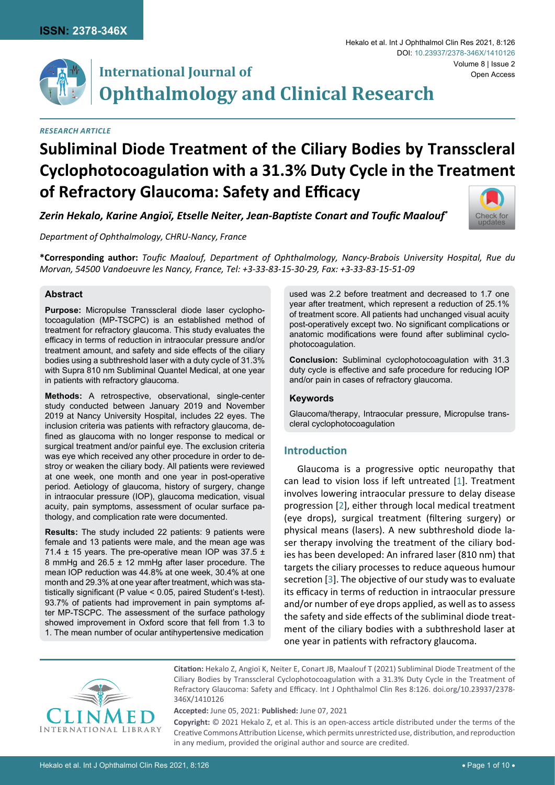

# **International Journal of Ophthalmology and Clinical Research**

## *Research Article*

# **Subliminal Diode Treatment of the Ciliary Bodies by Transscleral Cyclophotocoagulation with a 31.3% Duty Cycle in the Treatment of Refractory Glaucoma: Safety and Efficacy**

*Zerin Hekalo, Karine Angioï, Etselle Neiter, Jean-Baptiste Conart and Toufic Maalouf\**

*Department of Ophthalmology, CHRU-Nancy, France*

**\*Corresponding author:** *Toufic Maalouf, Department of Ophthalmology, Nancy-Brabois University Hospital, Rue du Morvan, 54500 Vandoeuvre les Nancy, France, Tel: +3-33-83-15-30-29, Fax: +3-33-83-15-51-09*

## **Abstract**

**Purpose:** Micropulse Transscleral diode laser cyclophotocoagulation (MP-TSCPC) is an established method of treatment for refractory glaucoma. This study evaluates the efficacy in terms of reduction in intraocular pressure and/or treatment amount, and safety and side effects of the ciliary bodies using a subthreshold laser with a duty cycle of 31.3% with Supra 810 nm Subliminal Quantel Medical, at one year in patients with refractory glaucoma.

**Methods:** A retrospective, observational, single-center study conducted between January 2019 and November 2019 at Nancy University Hospital, includes 22 eyes. The inclusion criteria was patients with refractory glaucoma, defined as glaucoma with no longer response to medical or surgical treatment and/or painful eye. The exclusion criteria was eye which received any other procedure in order to destroy or weaken the ciliary body. All patients were reviewed at one week, one month and one year in post-operative period. Aetiology of glaucoma, history of surgery, change in intraocular pressure (IOP), glaucoma medication, visual acuity, pain symptoms, assessment of ocular surface pathology, and complication rate were documented.

**Results:** The study included 22 patients: 9 patients were female and 13 patients were male, and the mean age was 71.4  $\pm$  15 years. The pre-operative mean IOP was 37.5  $\pm$ 8 mmHg and 26.5 ± 12 mmHg after laser procedure. The mean IOP reduction was 44.8% at one week, 30.4% at one month and 29.3% at one year after treatment, which was statistically significant (P value < 0.05, paired Student's t-test). 93.7% of patients had improvement in pain symptoms after MP-TSCPC. The assessment of the surface pathology showed improvement in Oxford score that fell from 1.3 to 1. The mean number of ocular antihypertensive medication

used was 2.2 before treatment and decreased to 1.7 one year after treatment, which represent a reduction of 25.1% of treatment score. All patients had unchanged visual acuity post-operatively except two. No significant complications or anatomic modifications were found after subliminal cyclophotocoagulation.

**Conclusion:** Subliminal cyclophotocoagulation with 31.3 duty cycle is effective and safe procedure for reducing IOP and/or pain in cases of refractory glaucoma.

## **Keywords**

Glaucoma/therapy, Intraocular pressure, Micropulse transcleral cyclophotocoagulation

# **Introduction**

Glaucoma is a progressive optic neuropathy that can lead to vision loss if left untreated [[1](#page-9-0)]. Treatment involves lowering intraocular pressure to delay disease progression [[2](#page-9-1)], either through local medical treatment (eye drops), surgical treatment (filtering surgery) or physical means (lasers). A new subthreshold diode laser therapy involving the treatment of the ciliary bodies has been developed: An infrared laser (810 nm) that targets the ciliary processes to reduce aqueous humour secretion [[3](#page-9-2)]. The objective of our study was to evaluate its efficacy in terms of reduction in intraocular pressure and/or number of eye drops applied, as well as to assess the safety and side effects of the subliminal diode treatment of the ciliary bodies with a subthreshold laser at one year in patients with refractory glaucoma.



**Citation:** Hekalo Z, Angioï K, Neiter E, Conart JB, Maalouf T (2021) Subliminal Diode Treatment of the Ciliary Bodies by Transscleral Cyclophotocoagulation with a 31.3% Duty Cycle in the Treatment of Refractory Glaucoma: Safety and Efficacy. Int J Ophthalmol Clin Res 8:126. [doi.org/10.23937/2378-](https://doi.org/10.23937/2378-346X/1410126) [346X/1410126](https://doi.org/10.23937/2378-346X/1410126)

**Accepted:** June 05, 2021: **Published:** June 07, 2021

**Copyright:** © 2021 Hekalo Z, et al. This is an open-access article distributed under the terms of the Creative Commons Attribution License, which permits unrestricted use, distribution, and reproduction in any medium, provided the original author and source are credited.

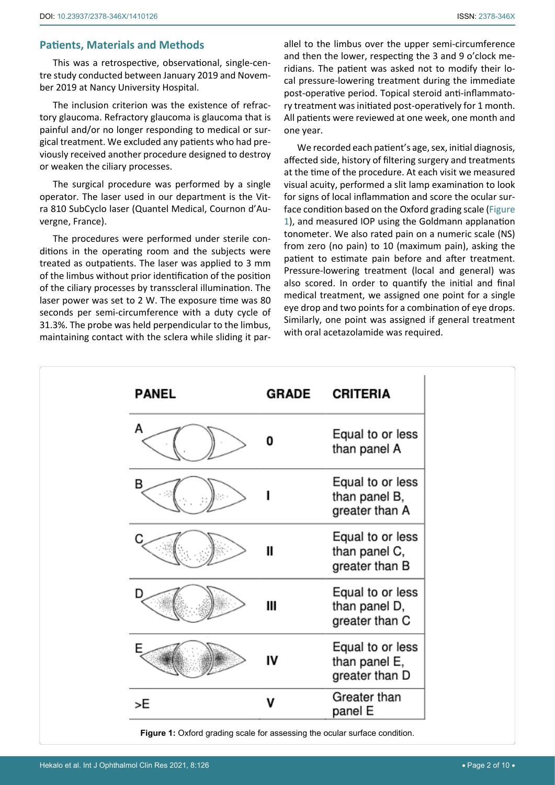## **Patients, Materials and Methods**

This was a retrospective, observational, single-centre study conducted between January 2019 and November 2019 at Nancy University Hospital.

The inclusion criterion was the existence of refractory glaucoma. Refractory glaucoma is glaucoma that is painful and/or no longer responding to medical or surgical treatment. We excluded any patients who had previously received another procedure designed to destroy or weaken the ciliary processes.

The surgical procedure was performed by a single operator. The laser used in our department is the Vitra 810 SubCyclo laser (Quantel Medical, Cournon d'Auvergne, France).

The procedures were performed under sterile conditions in the operating room and the subjects were treated as outpatients. The laser was applied to 3 mm of the limbus without prior identification of the position of the ciliary processes by transscleral illumination. The laser power was set to 2 W. The exposure time was 80 seconds per semi-circumference with a duty cycle of 31.3%. The probe was held perpendicular to the limbus, maintaining contact with the sclera while sliding it parallel to the limbus over the upper semi-circumference and then the lower, respecting the 3 and 9 o'clock meridians. The patient was asked not to modify their local pressure-lowering treatment during the immediate post-operative period. Topical steroid anti-inflammatory treatment was initiated post-operatively for 1 month. All patients were reviewed at one week, one month and one year.

We recorded each patient's age, sex, initial diagnosis, affected side, history of filtering surgery and treatments at the time of the procedure. At each visit we measured visual acuity, performed a slit lamp examination to look for signs of local inflammation and score the ocular surface condition based on the Oxford grading scale ([Figure](#page-1-0)  [1](#page-1-0)), and measured IOP using the Goldmann applanation tonometer. We also rated pain on a numeric scale (NS) from zero (no pain) to 10 (maximum pain), asking the patient to estimate pain before and after treatment. Pressure-lowering treatment (local and general) was also scored. In order to quantify the initial and final medical treatment, we assigned one point for a single eye drop and two points for a combination of eye drops. Similarly, one point was assigned if general treatment with oral acetazolamide was required.

<span id="page-1-0"></span>

| <b>PANEL</b> | <b>GRADE</b> | <b>CRITERIA</b>                                     |
|--------------|--------------|-----------------------------------------------------|
| А            | 0            | Equal to or less<br>than panel A                    |
| в            |              | Equal to or less<br>than panel B,<br>greater than A |
|              | $\mathbf{I}$ | Equal to or less<br>than panel C,<br>greater than B |
| D            | Ш            | Equal to or less<br>than panel D,<br>greater than C |
| F            | IV           | Equal to or less<br>than panel E,<br>greater than D |
| >E           | ۷            | Greater than<br>panel E                             |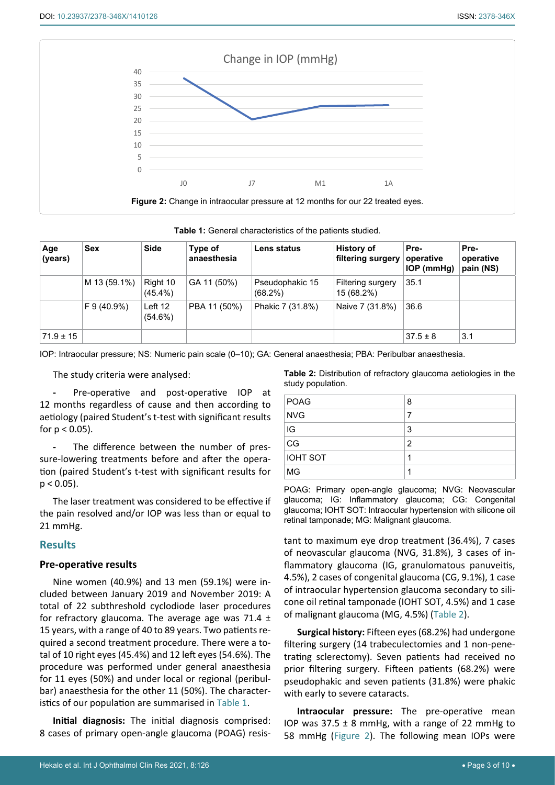<span id="page-2-1"></span>

<span id="page-2-2"></span>

|  |  |  | Table 1: General characteristics of the patients studied. |  |  |  |
|--|--|--|-----------------------------------------------------------|--|--|--|
|--|--|--|-----------------------------------------------------------|--|--|--|

| Age<br>(years) | <b>Sex</b>   | <b>Side</b>            | Type of<br>anaesthesia | Lens status                   | <b>History of</b><br>∣ filtering surgery <del>l</del> | Pre-<br>operative<br>$IOP$ (mmHg) | Pre-<br>operative<br>pain (NS) |
|----------------|--------------|------------------------|------------------------|-------------------------------|-------------------------------------------------------|-----------------------------------|--------------------------------|
|                | M 13 (59.1%) | Right 10<br>$(45.4\%)$ | GA 11 (50%)            | Pseudophakic 15<br>$(68.2\%)$ | <b>Filtering surgery</b><br>15 (68.2%)                | 35.1                              |                                |
|                | F 9 (40.9%)  | Left 12<br>$(54.6\%)$  | PBA 11 (50%)           | Phakic 7 (31.8%)              | Naive 7 (31.8%)                                       | 36.6                              |                                |
| $71.9 \pm 15$  |              |                        |                        |                               |                                                       | $37.5 \pm 8$                      | 3.1                            |

IOP: Intraocular pressure; NS: Numeric pain scale (0–10); GA: General anaesthesia; PBA: Peribulbar anaesthesia.

The study criteria were analysed:

**-** Pre-operative and post-operative IOP at 12 months regardless of cause and then according to aetiology (paired Student's t-test with significant results for  $p < 0.05$ ).

**-** The difference between the number of pressure-lowering treatments before and after the operation (paired Student's t-test with significant results for  $p < 0.05$ ).

The laser treatment was considered to be effective if the pain resolved and/or IOP was less than or equal to 21 mmHg.

## **Results**

## **Pre-operative results**

Nine women (40.9%) and 13 men (59.1%) were included between January 2019 and November 2019: A total of 22 subthreshold cyclodiode laser procedures for refractory glaucoma. The average age was 71.4  $\pm$ 15 years, with a range of 40 to 89 years. Two patients required a second treatment procedure. There were a total of 10 right eyes (45.4%) and 12 left eyes (54.6%). The procedure was performed under general anaesthesia for 11 eyes (50%) and under local or regional (peribulbar) anaesthesia for the other 11 (50%). The characteristics of our population are summarised in [Table](#page-2-2) 1.

**Initial diagnosis:** The initial diagnosis comprised: 8 cases of primary open-angle glaucoma (POAG) resis<span id="page-2-0"></span>**Table 2:** Distribution of refractory glaucoma aetiologies in the study population.

| <b>POAG</b>     | 8              |
|-----------------|----------------|
| <b>NVG</b>      | 7              |
| IG              | 3              |
| CG              | $\overline{2}$ |
| <b>IOHT SOT</b> |                |
| MG              |                |

POAG: Primary open-angle glaucoma; NVG: Neovascular glaucoma; IG: Inflammatory glaucoma; CG: Congenital glaucoma; IOHT SOT: Intraocular hypertension with silicone oil retinal tamponade; MG: Malignant glaucoma.

tant to maximum eye drop treatment (36.4%), 7 cases of neovascular glaucoma (NVG, 31.8%), 3 cases of inflammatory glaucoma (IG, granulomatous panuveitis, 4.5%), 2 cases of congenital glaucoma (CG, 9.1%), 1 case of intraocular hypertension glaucoma secondary to silicone oil retinal tamponade (IOHT SOT, 4.5%) and 1 case of malignant glaucoma (MG, 4.5%) ([Table](#page-2-0) 2).

**Surgical history:** Fifteen eyes (68.2%) had undergone filtering surgery (14 trabeculectomies and 1 non-penetrating sclerectomy). Seven patients had received no prior filtering surgery. Fifteen patients (68.2%) were pseudophakic and seven patients (31.8%) were phakic with early to severe cataracts.

**Intraocular pressure:** The pre-operative mean IOP was  $37.5 \pm 8$  mmHg, with a range of 22 mmHg to 58 mmHg [\(Figure](#page-2-1) 2). The following mean IOPs were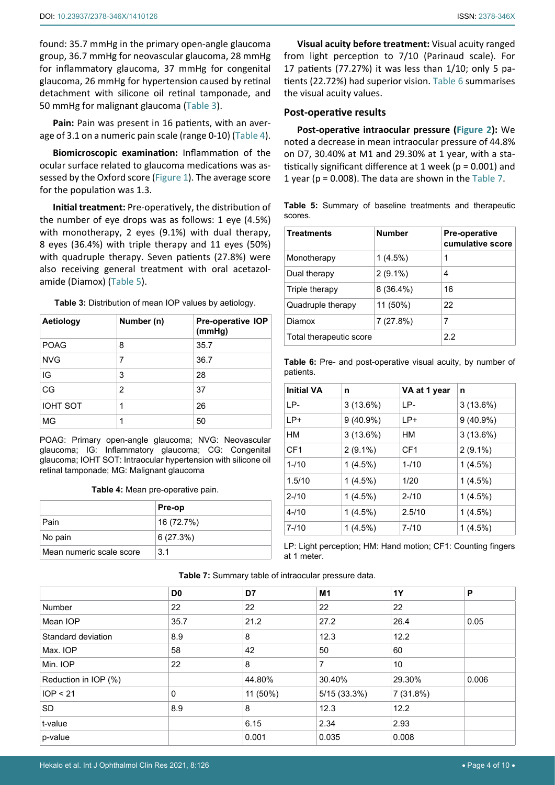found: 35.7 mmHg in the primary open-angle glaucoma group, 36.7 mmHg for neovascular glaucoma, 28 mmHg for inflammatory glaucoma, 37 mmHg for congenital glaucoma, 26 mmHg for hypertension caused by retinal detachment with silicone oil retinal tamponade, and 50 mmHg for malignant glaucoma ([Table](#page-3-2) 3).

**Pain:** Pain was present in 16 patients, with an average of 3.1 on a numeric pain scale (range 0-10) [\(Table](#page-3-3) 4).

**Biomicroscopic examination:** Inflammation of the ocular surface related to glaucoma medications was assessed by the Oxford score ([Figure 1](#page-1-0)). The average score for the population was 1.3.

**Initial treatment:** Pre-operatively, the distribution of the number of eye drops was as follows: 1 eye (4.5%) with monotherapy, 2 eyes (9.1%) with dual therapy, 8 eyes (36.4%) with triple therapy and 11 eyes (50%) with quadruple therapy. Seven patients (27.8%) were also receiving general treatment with oral acetazolamide (Diamox) ([Table](#page-3-4) 5).

<span id="page-3-2"></span>**Table 3:** Distribution of mean IOP values by aetiology.

| Aetiology       | Number (n) | <b>Pre-operative IOP</b><br>(mmHg) |
|-----------------|------------|------------------------------------|
| <b>POAG</b>     | 8          | 35.7                               |
| <b>NVG</b>      | 7          | 36.7                               |
| IG              | 3          | 28                                 |
| CG              | 2          | 37                                 |
| <b>IOHT SOT</b> | 1          | 26                                 |
| MG              | 1          | 50                                 |

POAG: Primary open-angle glaucoma; NVG: Neovascular glaucoma; IG: Inflammatory glaucoma; CG: Congenital glaucoma; IOHT SOT: Intraocular hypertension with silicone oil retinal tamponade; MG: Malignant glaucoma

<span id="page-3-3"></span>**Table 4:** Mean pre-operative pain.

|                          | <b>Pre-op</b> |
|--------------------------|---------------|
| Pain                     | 16 (72.7%)    |
| No pain                  | 6(27.3%)      |
| Mean numeric scale score | 3 1           |

**Visual acuity before treatment:** Visual acuity ranged from light perception to 7/10 (Parinaud scale). For 17 patients (77.27%) it was less than 1/10; only 5 patients (22.72%) had superior vision. [Table](#page-3-0) 6 summarises the visual acuity values.

### **Post-operative results**

**Post-operative intraocular pressure ([Figure](#page-2-1) 2):** We noted a decrease in mean intraocular pressure of 44.8% on D7, 30.40% at M1 and 29.30% at 1 year, with a statistically significant difference at 1 week ( $p = 0.001$ ) and 1 year ( $p = 0.008$ ). The data are shown in the [Table](#page-3-1) 7.

<span id="page-3-4"></span>

|         |  |  | Table 5: Summary of baseline treatments and therapeutic |
|---------|--|--|---------------------------------------------------------|
| scores. |  |  |                                                         |

| <b>Treatments</b>       | <b>Number</b> | <b>Pre-operative</b><br>cumulative score |
|-------------------------|---------------|------------------------------------------|
| Monotherapy             | $1(4.5\%)$    | 1                                        |
| Dual therapy            | $2(9.1\%)$    | 4                                        |
| Triple therapy          | $8(36.4\%)$   | 16                                       |
| Quadruple therapy       | 11 (50%)      | 22                                       |
| Diamox                  | 7(27.8%)      | 7                                        |
| Total therapeutic score | 2.2           |                                          |

<span id="page-3-0"></span>**Table 6:** Pre- and post-operative visual acuity, by number of patients.

| <b>Initial VA</b> | n           | VA at 1 year    | n           |
|-------------------|-------------|-----------------|-------------|
| IP-               | $3(13.6\%)$ | LP-             | $3(13.6\%)$ |
| $LP+$             | $9(40.9\%)$ | $LP+$           | $9(40.9\%)$ |
| HM                | $3(13.6\%)$ | HМ              | 3(13.6%)    |
| CF <sub>1</sub>   | $2(9.1\%)$  | CF <sub>1</sub> | $2(9.1\%)$  |
| $1 - 110$         | $1(4.5\%)$  | $1 - 10$        | $1(4.5\%)$  |
| 1.5/10            | $1(4.5\%)$  | 1/20            | $1(4.5\%)$  |
| $2 - 110$         | $1(4.5\%)$  | $2 - 10$        | $1(4.5\%)$  |
| $4 - 110$         | 1(4.5%)     | 2.5/10          | $1(4.5\%)$  |
| $7 - 110$         | $1(4.5\%)$  | $7 - 110$       | 1(4.5%)     |

LP: Light perception; HM: Hand motion; CF1: Counting fingers at 1 meter.

|                      | D <sub>0</sub> | D7       | M <sub>1</sub> | <b>1Y</b> | P     |
|----------------------|----------------|----------|----------------|-----------|-------|
| <b>Number</b>        | 22             | 22       | 22             | 22        |       |
| Mean IOP             | 35.7           | 21.2     | 27.2           | 26.4      | 0.05  |
| Standard deviation   | 8.9            | 8        | 12.3           | 12.2      |       |
| Max. IOP             | 58             | 42       | 50             | 60        |       |
| Min. IOP             | 22             | 8        | 7              | 10        |       |
| Reduction in IOP (%) |                | 44.80%   | 30.40%         | 29.30%    | 0.006 |
| IOP < 21             | 0              | 11 (50%) | 5/15(33.3%)    | 7(31.8%)  |       |
| <b>SD</b>            | 8.9            | 8        | 12.3           | 12.2      |       |
| t-value              |                | 6.15     | 2.34           | 2.93      |       |
| p-value              |                | 0.001    | 0.035          | 0.008     |       |

<span id="page-3-1"></span>**Table 7:** Summary table of intraocular pressure data.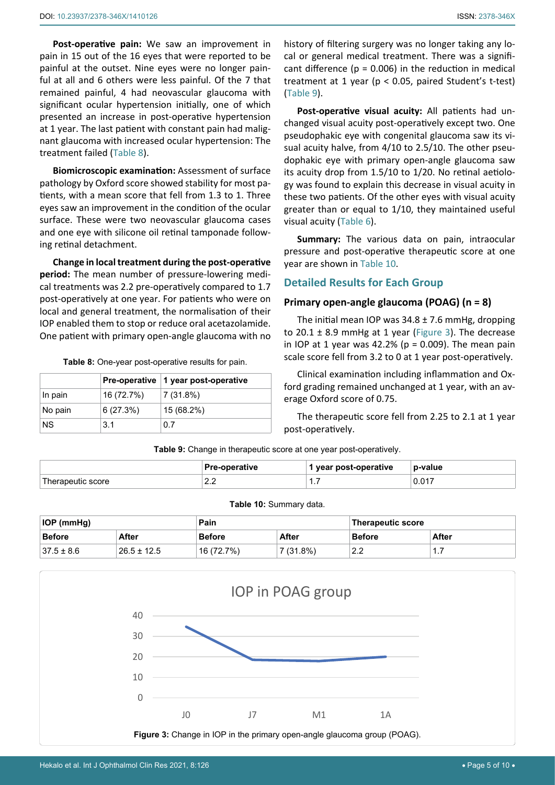**Post-operative pain:** We saw an improvement in pain in 15 out of the 16 eyes that were reported to be painful at the outset. Nine eyes were no longer painful at all and 6 others were less painful. Of the 7 that remained painful, 4 had neovascular glaucoma with significant ocular hypertension initially, one of which presented an increase in post-operative hypertension at 1 year. The last patient with constant pain had malignant glaucoma with increased ocular hypertension: The treatment failed ([Table](#page-4-3) 8).

**Biomicroscopic examination:** Assessment of surface pathology by Oxford score showed stability for most patients, with a mean score that fell from 1.3 to 1. Three eyes saw an improvement in the condition of the ocular surface. These were two neovascular glaucoma cases and one eye with silicone oil retinal tamponade following retinal detachment.

**Change in local treatment during the post-operative period:** The mean number of pressure-lowering medical treatments was 2.2 pre-operatively compared to 1.7 post-operatively at one year. For patients who were on local and general treatment, the normalisation of their IOP enabled them to stop or reduce oral acetazolamide. One patient with primary open-angle glaucoma with no

<span id="page-4-3"></span>**Table 8:** One-year post-operative results for pain.

|           |            | Pre-operative   1 year post-operative |
|-----------|------------|---------------------------------------|
| In pain   | 16 (72.7%) | 7(31.8%)                              |
| No pain   | 6(27.3%)   | 15 (68.2%)                            |
| <b>NS</b> | 3.1        | 0.7                                   |

history of filtering surgery was no longer taking any local or general medical treatment. There was a significant difference ( $p = 0.006$ ) in the reduction in medical treatment at 1 year (p < 0.05, paired Student's t-test) ([Table](#page-4-0) 9).

**Post-operative visual acuity:** All patients had unchanged visual acuity post-operatively except two. One pseudophakic eye with congenital glaucoma saw its visual acuity halve, from 4/10 to 2.5/10. The other pseudophakic eye with primary open-angle glaucoma saw its acuity drop from 1.5/10 to 1/20. No retinal aetiology was found to explain this decrease in visual acuity in these two patients. Of the other eyes with visual acuity greater than or equal to 1/10, they maintained useful visual acuity [\(Table](#page-3-0) 6).

**Summary:** The various data on pain, intraocular pressure and post-operative therapeutic score at one year are shown in [Table](#page-4-1) 10.

## **Detailed Results for Each Group**

## **Primary open-angle glaucoma (POAG) (n = 8)**

The initial mean IOP was  $34.8 \pm 7.6$  mmHg, dropping to 20.1  $\pm$  8.9 mmHg at 1 year [\(Figure](#page-4-2) 3). The decrease in IOP at 1 year was 42.2% ( $p = 0.009$ ). The mean pain scale score fell from 3.2 to 0 at 1 year post-operatively.

Clinical examination including inflammation and Oxford grading remained unchanged at 1 year, with an average Oxford score of 0.75.

The therapeutic score fell from 2.25 to 2.1 at 1 year post-operatively.

<span id="page-4-0"></span>**Table 9:** Change in therapeutic score at one year post-operatively.

|                    | Pre-operative | vear post-operative ' | p-value |
|--------------------|---------------|-----------------------|---------|
| l herapeutic score | $\sim$<br>L.L | .                     | 0.017   |

#### <span id="page-4-1"></span>**Table 10:** Summary data.

| <b>IOP (mmHg)</b> |                 | Pain      |             | Therapeutic score   |              |
|-------------------|-----------------|-----------|-------------|---------------------|--------------|
| <b>Before</b>     | <b>After</b>    | Before    | After       | <b>Before</b>       | <b>After</b> |
| $37.5 \pm 8.6$    | $26.5 \pm 12.5$ | 16(72.7%) | $7(31.8\%)$ | ററ<br>$\epsilon$ .2 | .            |

<span id="page-4-2"></span>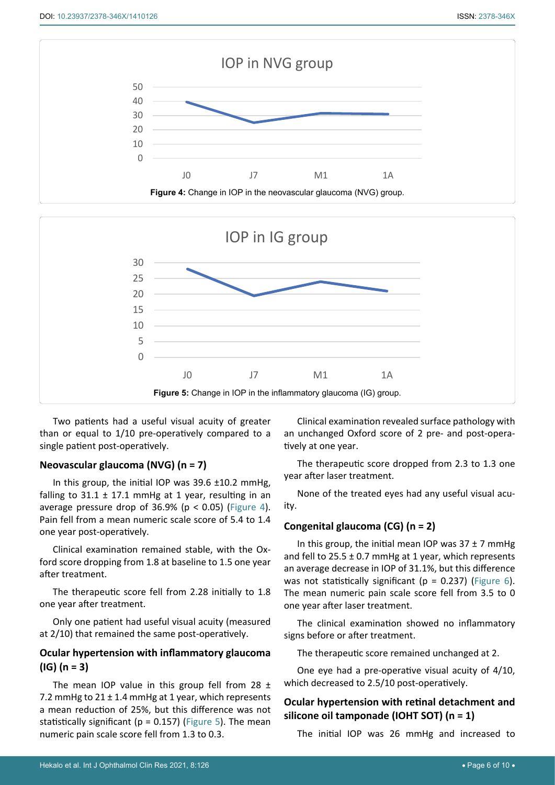<span id="page-5-0"></span>

<span id="page-5-1"></span>

Two patients had a useful visual acuity of greater than or equal to 1/10 pre-operatively compared to a single patient post-operatively.

## **Neovascular glaucoma (NVG) (n = 7)**

In this group, the initial IOP was  $39.6 \pm 10.2$  mmHg, falling to  $31.1 \pm 17.1$  mmHg at 1 year, resulting in an average pressure drop of 36.9% ( $p < 0.05$ ) [\(Figure](#page-5-0) 4). Pain fell from a mean numeric scale score of 5.4 to 1.4 one year post-operatively.

Clinical examination remained stable, with the Oxford score dropping from 1.8 at baseline to 1.5 one year after treatment.

The therapeutic score fell from 2.28 initially to 1.8 one year after treatment.

Only one patient had useful visual acuity (measured at 2/10) that remained the same post-operatively.

# **Ocular hypertension with inflammatory glaucoma (IG) (n = 3)**

The mean IOP value in this group fell from 28  $\pm$ 7.2 mmHg to 21 ± 1.4 mmHg at 1 year, which represents a mean reduction of 25%, but this difference was not statistically significant ( $p = 0.157$ ) ([Figure](#page-5-1) 5). The mean numeric pain scale score fell from 1.3 to 0.3.

Clinical examination revealed surface pathology with an unchanged Oxford score of 2 pre- and post-operatively at one year.

The therapeutic score dropped from 2.3 to 1.3 one year after laser treatment.

None of the treated eyes had any useful visual acuity.

## **Congenital glaucoma (CG) (n = 2)**

In this group, the initial mean IOP was  $37 \pm 7$  mmHg and fell to  $25.5 \pm 0.7$  mmHg at 1 year, which represents an average decrease in IOP of 31.1%, but this difference was not statistically significant ( $p = 0.237$ ) ([Figure](#page-6-0) 6). The mean numeric pain scale score fell from 3.5 to 0 one year after laser treatment.

The clinical examination showed no inflammatory signs before or after treatment.

The therapeutic score remained unchanged at 2.

One eye had a pre-operative visual acuity of 4/10, which decreased to 2.5/10 post-operatively.

# **Ocular hypertension with retinal detachment and silicone oil tamponade (IOHT SOT) (n = 1)**

The initial IOP was 26 mmHg and increased to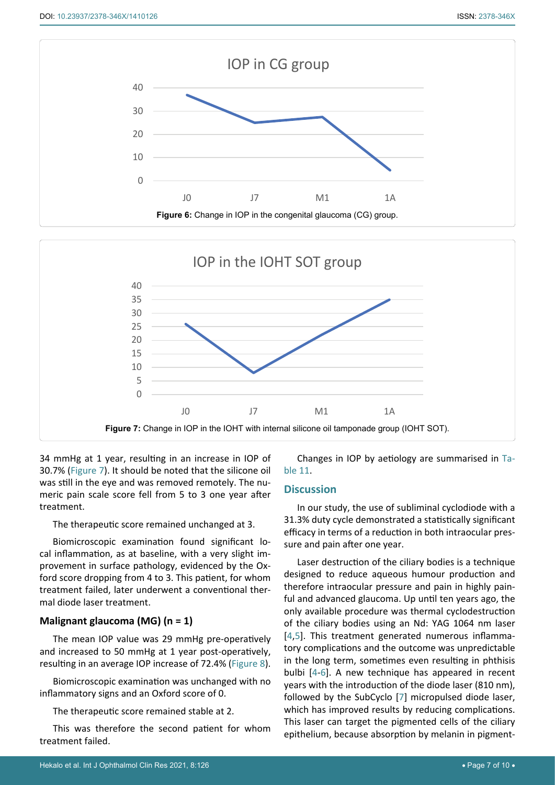<span id="page-6-0"></span>

<span id="page-6-1"></span>

34 mmHg at 1 year, resulting in an increase in IOP of 30.7% ([Figure](#page-6-1) 7). It should be noted that the silicone oil was still in the eye and was removed remotely. The numeric pain scale score fell from 5 to 3 one year after treatment.

## The therapeutic score remained unchanged at 3.

Biomicroscopic examination found significant local inflammation, as at baseline, with a very slight improvement in surface pathology, evidenced by the Oxford score dropping from 4 to 3. This patient, for whom treatment failed, later underwent a conventional thermal diode laser treatment.

## **Malignant glaucoma (MG) (n = 1)**

The mean IOP value was 29 mmHg pre-operatively and increased to 50 mmHg at 1 year post-operatively, resulting in an average IOP increase of 72.4% ([Figure](#page-7-1) 8).

Biomicroscopic examination was unchanged with no inflammatory signs and an Oxford score of 0.

The therapeutic score remained stable at 2.

This was therefore the second patient for whom treatment failed.

Changes in IOP by aetiology are summarised in [Ta](#page-7-0)[ble](#page-7-0) 11.

## **Discussion**

In our study, the use of subliminal cyclodiode with a 31.3% duty cycle demonstrated a statistically significant efficacy in terms of a reduction in both intraocular pressure and pain after one year.

Laser destruction of the ciliary bodies is a technique designed to reduce aqueous humour production and therefore intraocular pressure and pain in highly painful and advanced glaucoma. Up until ten years ago, the only available procedure was thermal cyclodestruction of the ciliary bodies using an Nd: YAG 1064 nm laser [\[4](#page-9-3)[,5](#page-9-4)]. This treatment generated numerous inflammatory complications and the outcome was unpredictable in the long term, sometimes even resulting in phthisis bulbi [[4-](#page-9-3)[6\]](#page-9-5). A new technique has appeared in recent years with the introduction of the diode laser (810 nm), followed by the SubCyclo [\[7](#page-9-6)] micropulsed diode laser, which has improved results by reducing complications. This laser can target the pigmented cells of the ciliary epithelium, because absorption by melanin in pigment-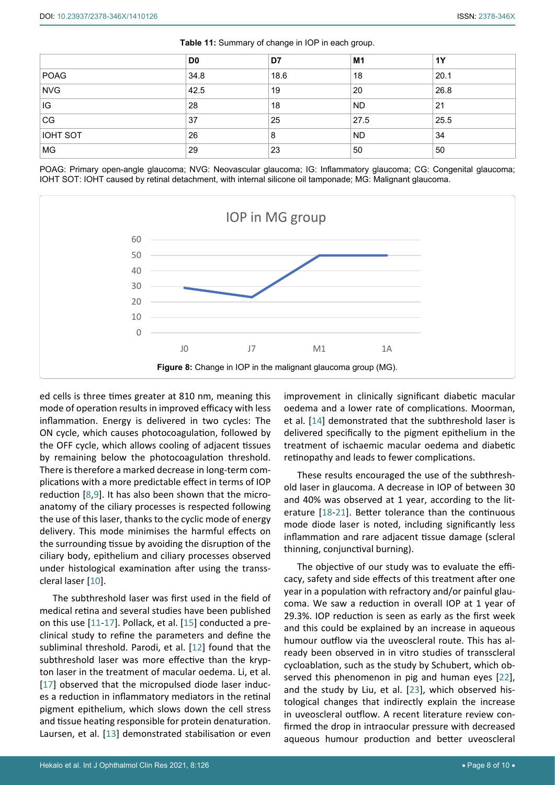|                 | D <sub>0</sub> | D7   | M1        | 1Y   |
|-----------------|----------------|------|-----------|------|
| POAG            | 34.8           | 18.6 | 18        | 20.1 |
| <b>NVG</b>      | 42.5           | 19   | 20        | 26.8 |
| IG              | 28             | 18   | <b>ND</b> | 21   |
| CG              | 37             | 25   | 27.5      | 25.5 |
| <b>IOHT SOT</b> | 26             | 8    | <b>ND</b> | 34   |
| MG              | 29             | 23   | 50        | 50   |

<span id="page-7-0"></span>**Table 11:** Summary of change in IOP in each group.

POAG: Primary open-angle glaucoma; NVG: Neovascular glaucoma; IG: Inflammatory glaucoma; CG: Congenital glaucoma; IOHT SOT: IOHT caused by retinal detachment, with internal silicone oil tamponade; MG: Malignant glaucoma.

<span id="page-7-1"></span>

ed cells is three times greater at 810 nm, meaning this mode of operation results in improved efficacy with less inflammation. Energy is delivered in two cycles: The ON cycle, which causes photocoagulation, followed by the OFF cycle, which allows cooling of adjacent tissues by remaining below the photocoagulation threshold. There is therefore a marked decrease in long-term complications with a more predictable effect in terms of IOP reduction [\[8](#page-9-12),[9](#page-9-13)]. It has also been shown that the microanatomy of the ciliary processes is respected following the use of this laser, thanks to the cyclic mode of energy delivery. This mode minimises the harmful effects on the surrounding tissue by avoiding the disruption of the ciliary body, epithelium and ciliary processes observed under histological examination after using the transscleral laser [[10](#page-9-14)].

The subthreshold laser was first used in the field of medical retina and several studies have been published on this use [[11](#page-9-15)-[17\]](#page-9-16). Pollack, et al. [[15](#page-9-17)] conducted a preclinical study to refine the parameters and define the subliminal threshold. Parodi, et al. [[12](#page-9-18)] found that the subthreshold laser was more effective than the krypton laser in the treatment of macular oedema. Li, et al. [[17](#page-9-16)] observed that the micropulsed diode laser induces a reduction in inflammatory mediators in the retinal pigment epithelium, which slows down the cell stress and tissue heating responsible for protein denaturation. Laursen, et al. [[13\]](#page-9-19) demonstrated stabilisation or even improvement in clinically significant diabetic macular oedema and a lower rate of complications. Moorman, et al. [\[14](#page-9-7)] demonstrated that the subthreshold laser is delivered specifically to the pigment epithelium in the treatment of ischaemic macular oedema and diabetic retinopathy and leads to fewer complications.

These results encouraged the use of the subthreshold laser in glaucoma. A decrease in IOP of between 30 and 40% was observed at 1 year, according to the literature [\[18-](#page-9-8)[21](#page-9-9)]. Better tolerance than the continuous mode diode laser is noted, including significantly less inflammation and rare adjacent tissue damage (scleral thinning, conjunctival burning).

The objective of our study was to evaluate the efficacy, safety and side effects of this treatment after one year in a population with refractory and/or painful glaucoma. We saw a reduction in overall IOP at 1 year of 29.3%. IOP reduction is seen as early as the first week and this could be explained by an increase in aqueous humour outflow via the uveoscleral route. This has already been observed in in vitro studies of transscleral cycloablation, such as the study by Schubert, which observed this phenomenon in pig and human eyes [[22\]](#page-9-10), and the study by Liu, et al. [\[23](#page-9-11)], which observed histological changes that indirectly explain the increase in uveoscleral outflow. A recent literature review confirmed the drop in intraocular pressure with decreased aqueous humour production and better uveoscleral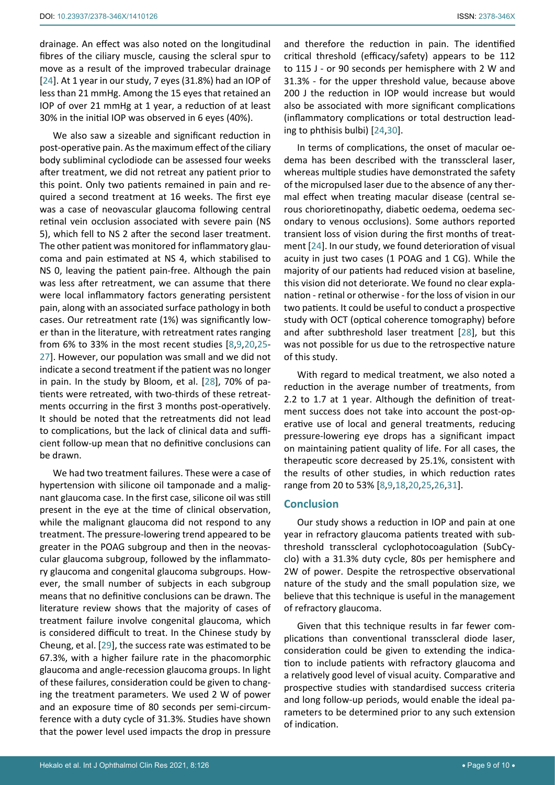We also saw a sizeable and significant reduction in post-operative pain. As the maximum effect of the ciliary body subliminal cyclodiode can be assessed four weeks after treatment, we did not retreat any patient prior to this point. Only two patients remained in pain and required a second treatment at 16 weeks. The first eye was a case of neovascular glaucoma following central retinal vein occlusion associated with severe pain (NS 5), which fell to NS 2 after the second laser treatment. The other patient was monitored for inflammatory glaucoma and pain estimated at NS 4, which stabilised to NS 0, leaving the patient pain-free. Although the pain was less after retreatment, we can assume that there were local inflammatory factors generating persistent pain, along with an associated surface pathology in both cases. Our retreatment rate (1%) was significantly lower than in the literature, with retreatment rates ranging from 6% to 33% in the most recent studies [\[8](#page-9-12),[9](#page-9-13)[,20](#page-9-23)[,25](#page-9-24)- [27\]](#page-9-27). However, our population was small and we did not indicate a second treatment if the patient was no longer in pain. In the study by Bloom, et al. [[28\]](#page-9-22), 70% of patients were retreated, with two-thirds of these retreatments occurring in the first 3 months post-operatively. It should be noted that the retreatments did not lead to complications, but the lack of clinical data and sufficient follow-up mean that no definitive conclusions can be drawn.

We had two treatment failures. These were a case of hypertension with silicone oil tamponade and a malignant glaucoma case. In the first case, silicone oil was still present in the eye at the time of clinical observation, while the malignant glaucoma did not respond to any treatment. The pressure-lowering trend appeared to be greater in the POAG subgroup and then in the neovascular glaucoma subgroup, followed by the inflammatory glaucoma and congenital glaucoma subgroups. However, the small number of subjects in each subgroup means that no definitive conclusions can be drawn. The literature review shows that the majority of cases of treatment failure involve congenital glaucoma, which is considered difficult to treat. In the Chinese study by Cheung, et al. [[29\]](#page-9-28), the success rate was estimated to be 67.3%, with a higher failure rate in the phacomorphic glaucoma and angle-recession glaucoma groups. In light of these failures, consideration could be given to changing the treatment parameters. We used 2 W of power and an exposure time of 80 seconds per semi-circumference with a duty cycle of 31.3%. Studies have shown that the power level used impacts the drop in pressure

and therefore the reduction in pain. The identified critical threshold (efficacy/safety) appears to be 112 to 115 J - or 90 seconds per hemisphere with 2 W and 31.3% - for the upper threshold value, because above 200 J the reduction in IOP would increase but would also be associated with more significant complications (inflammatory complications or total destruction leading to phthisis bulbi) [\[24](#page-9-20),[30](#page-9-21)].

In terms of complications, the onset of macular oedema has been described with the transscleral laser, whereas multiple studies have demonstrated the safety of the micropulsed laser due to the absence of any thermal effect when treating macular disease (central serous chorioretinopathy, diabetic oedema, oedema secondary to venous occlusions). Some authors reported transient loss of vision during the first months of treatment [[24](#page-9-20)]. In our study, we found deterioration of visual acuity in just two cases (1 POAG and 1 CG). While the majority of our patients had reduced vision at baseline, this vision did not deteriorate. We found no clear explanation - retinal or otherwise - for the loss of vision in our two patients. It could be useful to conduct a prospective study with OCT (optical coherence tomography) before and after subthreshold laser treatment [[28](#page-9-22)], but this was not possible for us due to the retrospective nature of this study.

With regard to medical treatment, we also noted a reduction in the average number of treatments, from 2.2 to 1.7 at 1 year. Although the definition of treatment success does not take into account the post-operative use of local and general treatments, reducing pressure-lowering eye drops has a significant impact on maintaining patient quality of life. For all cases, the therapeutic score decreased by 25.1%, consistent with the results of other studies, in which reduction rates range from 20 to 53% [\[8](#page-9-12),[9](#page-9-13),[18](#page-9-8)[,20](#page-9-23),[25](#page-9-24),[26](#page-9-25),[31\]](#page-9-26).

# **Conclusion**

Our study shows a reduction in IOP and pain at one year in refractory glaucoma patients treated with subthreshold transscleral cyclophotocoagulation (SubCyclo) with a 31.3% duty cycle, 80s per hemisphere and 2W of power. Despite the retrospective observational nature of the study and the small population size, we believe that this technique is useful in the management of refractory glaucoma.

Given that this technique results in far fewer complications than conventional transscleral diode laser, consideration could be given to extending the indication to include patients with refractory glaucoma and a relatively good level of visual acuity. Comparative and prospective studies with standardised success criteria and long follow-up periods, would enable the ideal parameters to be determined prior to any such extension of indication.